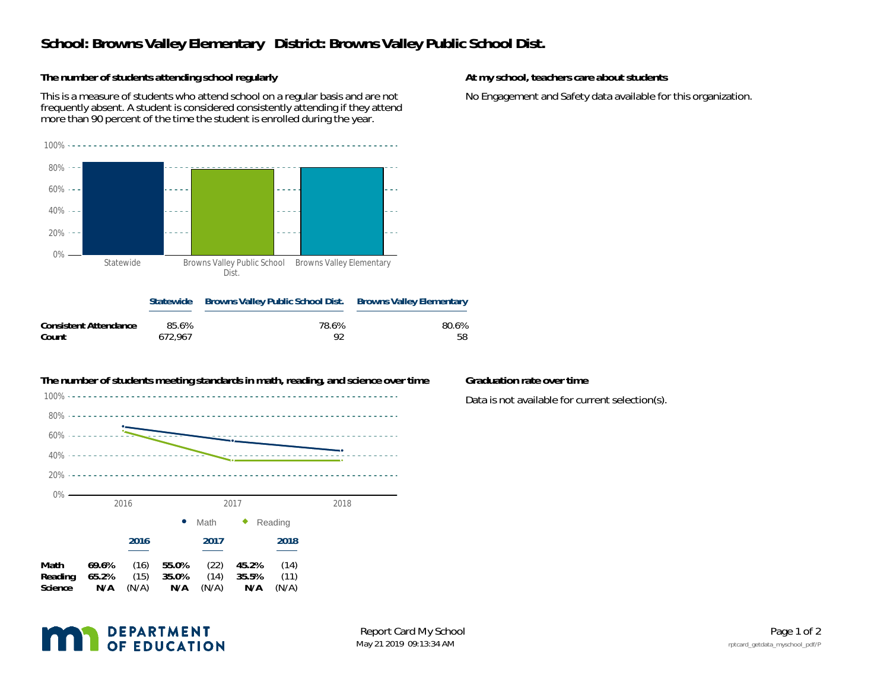## **School: Browns Valley Elementary District: Browns Valley Public School Dist.**

**The number of students attending school regularly**

This is a measure of students who attend school on a regular basis and are not frequently absent. A student is considered consistently attending if they attend more than 90 percent of the time the student is enrolled during the year.



**Statewide Browns Valley Public School Dist. Browns Valley Elementary Consistent Attendance** 85.6% 78.6% 80.6% **Count**672,967 92 58



**At my school, teachers care about students**

No Engagement and Safety data available for this organization.

Data is not available for current selection(s).